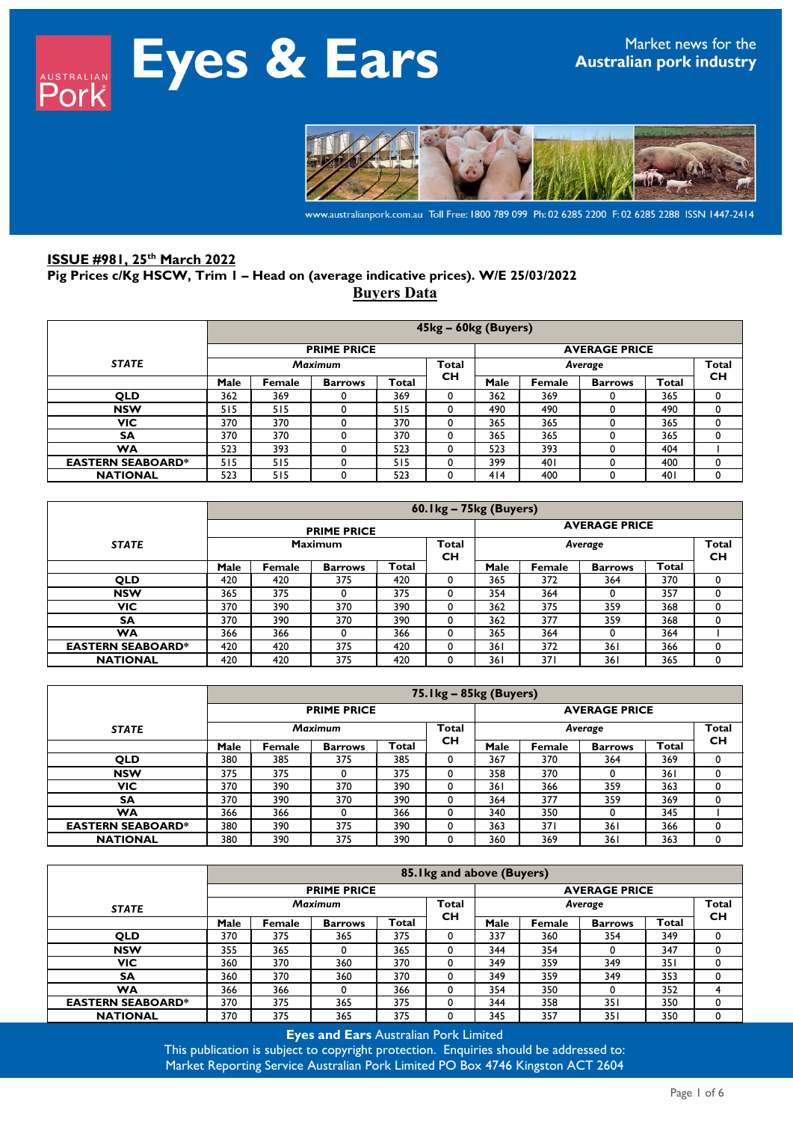

www.australianpork.com.au Toll Free: 1800 789 099 Ph: 02 6285 2200 F: 02 6285 2288 ISSN 1447-2414

### **ISSUE #981, 25th March 2022 Pig Prices c/Kg HSCW, Trim 1 – Head on (average indicative prices). W/E 25/03/2022 Buyers Data**

|                          |      | 45kg - 60kg (Buyers)                                       |                |       |           |                  |        |                |       |           |  |  |  |
|--------------------------|------|------------------------------------------------------------|----------------|-------|-----------|------------------|--------|----------------|-------|-----------|--|--|--|
|                          |      | <b>PRIME PRICE</b><br><b>AVERAGE PRICE</b><br><b>Total</b> |                |       |           |                  |        |                |       |           |  |  |  |
| <b>STATE</b>             |      | <b>Maximum</b>                                             |                |       |           | Total<br>Average |        |                |       |           |  |  |  |
|                          | Male | Female                                                     | <b>Barrows</b> | Total | <b>CH</b> | Male             | Female | <b>Barrows</b> | Total | <b>CH</b> |  |  |  |
| <b>QLD</b>               | 362  | 369                                                        |                | 369   | 0         | 362              | 369    |                | 365   | 0         |  |  |  |
| <b>NSW</b>               | 515  | 515                                                        |                | 515   | 0         | 490              | 490    |                | 490   | 0         |  |  |  |
| <b>VIC</b>               | 370  | 370                                                        |                | 370   | 0         | 365              | 365    |                | 365   | 0         |  |  |  |
| <b>SA</b>                | 370  | 370                                                        |                | 370   | 0         | 365              | 365    |                | 365   | 0         |  |  |  |
| WA                       | 523  | 393                                                        |                | 523   | 0         | 523              | 393    |                | 404   |           |  |  |  |
| <b>EASTERN SEABOARD*</b> | 515  | 515                                                        |                | 515   | 0         | 399              | 401    |                | 400   | 0         |  |  |  |
| <b>NATIONAL</b>          | 523  | 515                                                        |                | 523   | 0         | 414              | 400    |                | 40 I  | 0         |  |  |  |

|                          |      | $60.1$ kg – 75kg (Buyers)                           |                |       |           |      |                           |                |       |   |  |  |  |
|--------------------------|------|-----------------------------------------------------|----------------|-------|-----------|------|---------------------------|----------------|-------|---|--|--|--|
|                          |      | <b>AVERAGE PRICE</b><br><b>PRIME PRICE</b><br>Total |                |       |           |      |                           |                |       |   |  |  |  |
| <b>STATE</b>             |      | <b>Maximum</b>                                      |                |       |           |      | <b>Total</b><br><b>CH</b> |                |       |   |  |  |  |
|                          | Male | Female                                              | <b>Barrows</b> | Total | <b>CH</b> | Male | Female                    | <b>Barrows</b> | Total |   |  |  |  |
| <b>QLD</b>               | 420  | 420                                                 | 375            | 420   | 0         | 365  | 372                       | 364            | 370   |   |  |  |  |
| <b>NSW</b>               | 365  | 375                                                 | 0              | 375   | 0         | 354  | 364                       | $\Omega$       | 357   |   |  |  |  |
| VIC                      | 370  | 390                                                 | 370            | 390   | 0         | 362  | 375                       | 359            | 368   |   |  |  |  |
| <b>SA</b>                | 370  | 390                                                 | 370            | 390   | $\Omega$  | 362  | 377                       | 359            | 368   |   |  |  |  |
| WA                       | 366  | 366                                                 |                | 366   | 0         | 365  | 364                       | $\Omega$       | 364   |   |  |  |  |
| <b>EASTERN SEABOARD*</b> | 420  | 420                                                 | 375            | 420   | 0         | 361  | 372                       | 361            | 366   | 0 |  |  |  |
| <b>NATIONAL</b>          | 420  | 420                                                 | 375            | 420   |           | 361  | 371                       | 361            | 365   |   |  |  |  |

|                          |      |                |                    |              | 75. Ikg - 85kg (Buyers) |                         |        |                |       |    |  |  |
|--------------------------|------|----------------|--------------------|--------------|-------------------------|-------------------------|--------|----------------|-------|----|--|--|
|                          |      |                | <b>PRIME PRICE</b> |              |                         | <b>AVERAGE PRICE</b>    |        |                |       |    |  |  |
| <b>STATE</b>             |      | <b>Maximum</b> |                    |              |                         | <b>Total</b><br>Average |        |                |       |    |  |  |
|                          | Male | Female         | <b>Barrows</b>     | <b>Total</b> | <b>CH</b>               | Male                    | Female | <b>Barrows</b> | Total | CН |  |  |
| <b>QLD</b>               | 380  | 385            | 375                | 385          |                         | 367                     | 370    | 364            | 369   |    |  |  |
| <b>NSW</b>               | 375  | 375            |                    | 375          |                         | 358                     | 370    |                | 361   |    |  |  |
| <b>VIC</b>               | 370  | 390            | 370                | 390          |                         | 361                     | 366    | 359            | 363   |    |  |  |
| <b>SA</b>                | 370  | 390            | 370                | 390          |                         | 364                     | 377    | 359            | 369   |    |  |  |
| <b>WA</b>                | 366  | 366            |                    | 366          |                         | 340                     | 350    |                | 345   |    |  |  |
| <b>EASTERN SEABOARD*</b> | 380  | 390            | 375                | 390          |                         | 363                     | 37 I   | 361            | 366   |    |  |  |
| <b>NATIONAL</b>          | 380  | 390            | 375                | 390          |                         | 360                     | 369    | 361            | 363   |    |  |  |

|                          |      |                |                    |       | 85. Ikg and above (Buyers) |                      |        |                |       |              |
|--------------------------|------|----------------|--------------------|-------|----------------------------|----------------------|--------|----------------|-------|--------------|
|                          |      |                | <b>PRIME PRICE</b> |       |                            | <b>AVERAGE PRICE</b> |        |                |       |              |
| <b>STATE</b>             |      | <b>Maximum</b> |                    |       |                            |                      |        | Average        |       | <b>Total</b> |
|                          | Male | Female         | <b>Barrows</b>     | Total | <b>CH</b>                  | Male                 | Female | <b>Barrows</b> | Total | <b>CH</b>    |
| <b>QLD</b>               | 370  | 375            | 365                | 375   | 0                          | 337                  | 360    | 354            | 349   |              |
| <b>NSW</b>               | 355  | 365            |                    | 365   | 0                          | 344                  | 354    |                | 347   | 0            |
| VIC                      | 360  | 370            | 360                | 370   | 0                          | 349                  | 359    | 349            | 351   |              |
| <b>SA</b>                | 360  | 370            | 360                | 370   | 0                          | 349                  | 359    | 349            | 353   | 0            |
| <b>WA</b>                | 366  | 366            |                    | 366   | 0                          | 354                  | 350    |                | 352   |              |
| <b>EASTERN SEABOARD*</b> | 370  | 375            | 365                | 375   | $\Omega$                   | 344                  | 358    | 351            | 350   |              |
| <b>NATIONAL</b>          | 370  | 375            | 365                | 375   | 0                          | 345                  | 357    | 351            | 350   |              |

**Eyes and Ears** Australian Pork Limited

This publication is subject to copyright protection. Enquiries should be addressed to: Market Reporting Service Australian Pork Limited PO Box 4746 Kingston ACT 2604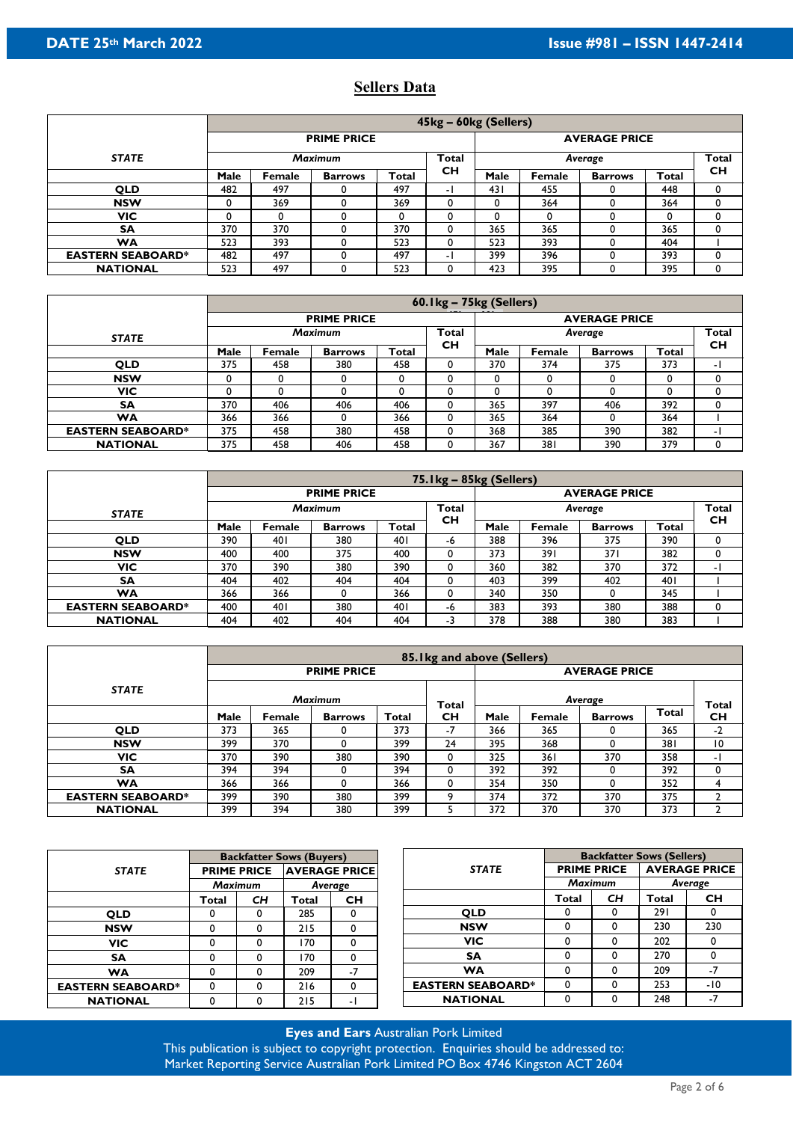## **Sellers Data**

|                          |      |                |                    |       | 45kg - 60kg (Sellers) |                         |        |                |       |           |  |  |
|--------------------------|------|----------------|--------------------|-------|-----------------------|-------------------------|--------|----------------|-------|-----------|--|--|
|                          |      |                | <b>PRIME PRICE</b> |       |                       | <b>AVERAGE PRICE</b>    |        |                |       |           |  |  |
| <b>STATE</b>             |      | <b>Maximum</b> |                    |       |                       | <b>Total</b><br>Average |        |                |       |           |  |  |
|                          | Male | Female         | <b>Barrows</b>     | Total | <b>CH</b>             | Male                    | Female | <b>Barrows</b> | Total | <b>CH</b> |  |  |
| <b>QLD</b>               | 482  | 497            |                    | 497   |                       | 431                     | 455    |                | 448   | 0         |  |  |
| <b>NSW</b>               | 0    | 369            |                    | 369   | 0                     | 0                       | 364    |                | 364   | 0         |  |  |
| <b>VIC</b>               | 0    |                |                    | 0     | 0                     | 0                       | 0      |                |       | 0         |  |  |
| <b>SA</b>                | 370  | 370            |                    | 370   | 0                     | 365                     | 365    |                | 365   | 0         |  |  |
| <b>WA</b>                | 523  | 393            |                    | 523   | 0                     | 523                     | 393    |                | 404   |           |  |  |
| <b>EASTERN SEABOARD*</b> | 482  | 497            |                    | 497   | ٠                     | 399                     | 396    |                | 393   | 0         |  |  |
| <b>NATIONAL</b>          | 523  | 497            |                    | 523   |                       | 423                     | 395    |                | 395   | 0         |  |  |

|                          |      |                |                    |       | 60.1kg - 75kg (Sellers) |                                         |        |                |       |           |  |
|--------------------------|------|----------------|--------------------|-------|-------------------------|-----------------------------------------|--------|----------------|-------|-----------|--|
|                          |      |                | <b>PRIME PRICE</b> |       |                         | <b>AVERAGE PRICE</b>                    |        |                |       |           |  |
| <b>STATE</b>             |      | <b>Maximum</b> |                    |       |                         | <b>Total</b><br><b>Total</b><br>Average |        |                |       |           |  |
|                          | Male | Female         | <b>Barrows</b>     | Total | <b>CH</b>               | Male                                    | Female | <b>Barrows</b> | Total | <b>CH</b> |  |
| <b>QLD</b>               | 375  | 458            | 380                | 458   | -0                      | 370                                     | 374    | 375            | 373   | - 1       |  |
| <b>NSW</b>               | 0    |                |                    |       |                         |                                         | 0      |                |       |           |  |
| VIC                      | 0    |                |                    |       |                         |                                         |        |                |       |           |  |
| <b>SA</b>                | 370  | 406            | 406                | 406   |                         | 365                                     | 397    | 406            | 392   |           |  |
| WA                       | 366  | 366            |                    | 366   |                         | 365                                     | 364    |                | 364   |           |  |
| <b>EASTERN SEABOARD*</b> | 375  | 458            | 380                | 458   | 0                       | 368                                     | 385    | 390            | 382   | - 1       |  |
| <b>NATIONAL</b>          | 375  | 458            | 406                | 458   |                         | 367                                     | 381    | 390            | 379   |           |  |

|                          |      |                |                    |              | $75.1$ kg – $85$ kg (Sellers) |                                                      |        |                |       |     |  |
|--------------------------|------|----------------|--------------------|--------------|-------------------------------|------------------------------------------------------|--------|----------------|-------|-----|--|
|                          |      |                | <b>PRIME PRICE</b> |              |                               | <b>AVERAGE PRICE</b>                                 |        |                |       |     |  |
| <b>STATE</b>             |      | <b>Maximum</b> |                    |              |                               | <b>Total</b><br><b>Total</b><br>Average<br><b>CH</b> |        |                |       |     |  |
|                          | Male | <b>Female</b>  | <b>Barrows</b>     | <b>Total</b> | <b>CH</b>                     | Male                                                 | Female | <b>Barrows</b> | Total |     |  |
| <b>QLD</b>               | 390  | 40 I           | 380                | 40 I         | -6                            | 388                                                  | 396    | 375            | 390   |     |  |
| <b>NSW</b>               | 400  | 400            | 375                | 400          |                               | 373                                                  | 391    | 371            | 382   |     |  |
| VIC                      | 370  | 390            | 380                | 390          |                               | 360                                                  | 382    | 370            | 372   | - 1 |  |
| <b>SA</b>                | 404  | 402            | 404                | 404          |                               | 403                                                  | 399    | 402            | 401   |     |  |
| <b>WA</b>                | 366  | 366            |                    | 366          |                               | 340                                                  | 350    |                | 345   |     |  |
| <b>EASTERN SEABOARD*</b> | 400  | 40             | 380                | 40 I         | -6                            | 383                                                  | 393    | 380            | 388   |     |  |
| <b>NATIONAL</b>          | 404  | 402            | 404                | 404          | -3                            | 378                                                  | 388    | 380            | 383   |     |  |

|                          |      |               |                    |       | 85. I kg and above (Sellers) |                      |               |                |              |           |  |
|--------------------------|------|---------------|--------------------|-------|------------------------------|----------------------|---------------|----------------|--------------|-----------|--|
|                          |      |               | <b>PRIME PRICE</b> |       |                              | <b>AVERAGE PRICE</b> |               |                |              |           |  |
| <b>STATE</b>             |      |               | <b>Maximum</b>     |       | <b>Total</b>                 | Average<br>Total     |               |                |              |           |  |
|                          | Male | <b>Female</b> | <b>Barrows</b>     | Total | <b>CH</b>                    | Male                 | <b>Female</b> | <b>Barrows</b> | <b>Total</b> | <b>CH</b> |  |
| <b>QLD</b>               | 373  | 365           |                    | 373   | -7                           | 366                  | 365           |                | 365          | $-2$      |  |
| <b>NSW</b>               | 399  | 370           |                    | 399   | 24                           | 395                  | 368           |                | 381          | 10        |  |
| <b>VIC</b>               | 370  | 390           | 380                | 390   |                              | 325                  | 361           | 370            | 358          | - 1       |  |
| <b>SA</b>                | 394  | 394           |                    | 394   |                              | 392                  | 392           |                | 392          | 0         |  |
| WA                       | 366  | 366           |                    | 366   |                              | 354                  | 350           |                | 352          |           |  |
| <b>EASTERN SEABOARD*</b> | 399  | 390           | 380                | 399   | a                            | 374                  | 372           | 370            | 375          |           |  |
| <b>NATIONAL</b>          | 399  | 394           | 380                | 399   |                              | 372                  | 370           | 370            | 373          |           |  |

|                          |       |                                            | <b>Backfatter Sows (Buyers)</b> |              |                          | <b>Backfatter Sows (Sellers)</b> |                      |         |           |  |
|--------------------------|-------|--------------------------------------------|---------------------------------|--------------|--------------------------|----------------------------------|----------------------|---------|-----------|--|
| <b>STATE</b>             |       | <b>AVERAGE PRICE</b><br><b>PRIME PRICE</b> |                                 | <b>STATE</b> | <b>PRIME PRICE</b>       |                                  | <b>AVERAGE PRICE</b> |         |           |  |
|                          |       | <b>Maximum</b>                             |                                 | Average      |                          | <b>Maximum</b>                   |                      | Average |           |  |
|                          | Total | <b>CH</b>                                  | Total                           | <b>CH</b>    |                          | Total                            | CH                   | Total   | <b>CH</b> |  |
| <b>OLD</b>               |       | 0                                          | 285                             | 0            | <b>OLD</b>               | 0                                |                      | 291     | 0         |  |
| <b>NSW</b>               |       |                                            | 215                             | 0            | <b>NSW</b>               | 0                                |                      | 230     | 230       |  |
| <b>VIC</b>               |       |                                            | 170                             | 0            | <b>VIC</b>               | 0                                |                      | 202     | 0         |  |
| <b>SA</b>                |       |                                            | 170                             | 0            | <b>SA</b>                | 0                                |                      | 270     | 0         |  |
| <b>WA</b>                |       |                                            | 209                             | $-7$         | <b>WA</b>                | 0                                |                      | 209     | $-7$      |  |
| <b>EASTERN SEABOARD*</b> |       |                                            | 216                             | 0            | <b>EASTERN SEABOARD*</b> | 0                                |                      | 253     | -10       |  |
| <b>NATIONAL</b>          |       |                                            | 215                             | - 1          | <b>NATIONAL</b>          | 0                                |                      | 248     | -7        |  |

**Eyes and Ears** Australian Pork Limited This publication is subject to copyright protection. Enquiries should be addressed to: Market Reporting Service Australian Pork Limited PO Box 4746 Kingston ACT 2604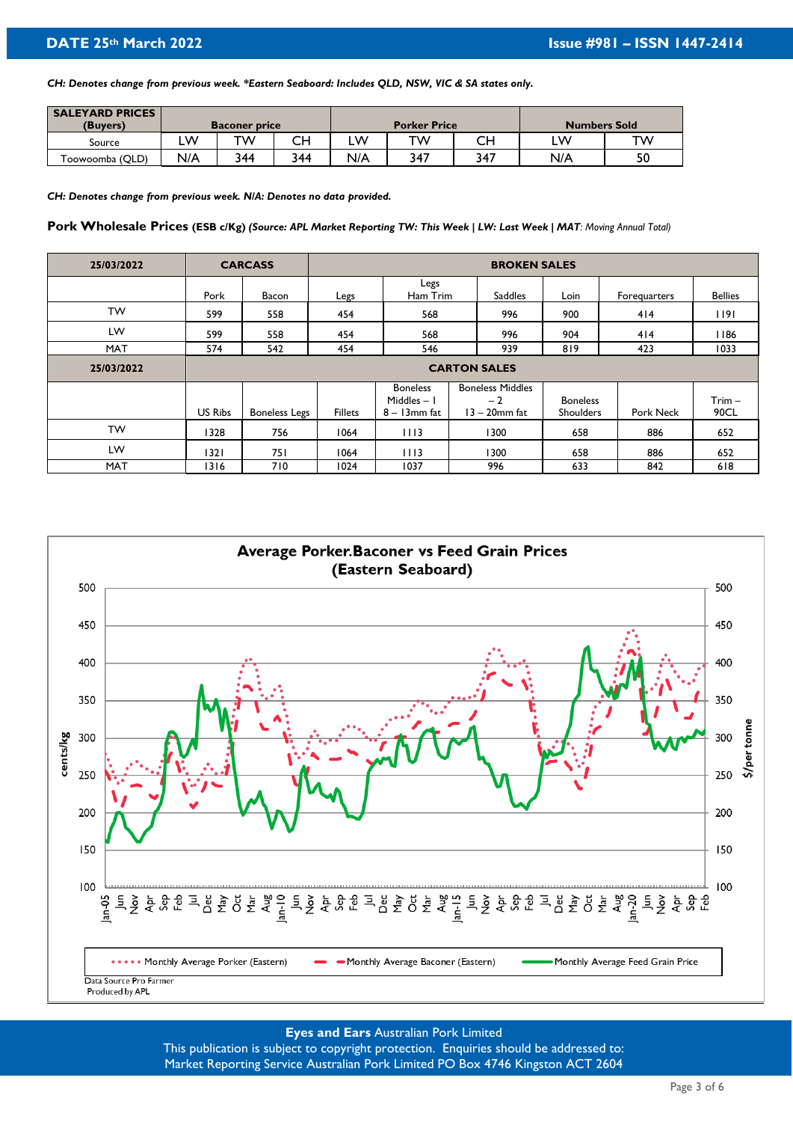*CH: Denotes change from previous week. \*Eastern Seaboard: Includes QLD, NSW, VIC & SA states only.*

| <b>SALEYARD PRICES</b> |     |                      |     |     |                     |     |                     |    |
|------------------------|-----|----------------------|-----|-----|---------------------|-----|---------------------|----|
| (Buvers)               |     | <b>Baconer price</b> |     |     | <b>Porker Price</b> |     | <b>Numbers Sold</b> |    |
| Source                 | W   | тw                   | CН  | LW  | тw                  | CН  | LW                  | тw |
| Toowoomba (QLD)        | N/A | 344                  | 344 | N/A | 347                 | 347 | N/A                 | 50 |

*CH: Denotes change from previous week. N/A: Denotes no data provided.* 

**Pork Wholesale Prices (ESB c/Kg)** *(Source: APL Market Reporting TW: This Week | LW: Last Week | MAT: Moving Annual Total)* 

| 25/03/2022 |         | <b>CARCASS</b>       |                |                                                    | <b>BROKEN SALES</b>                                 |                                     |              |                  |
|------------|---------|----------------------|----------------|----------------------------------------------------|-----------------------------------------------------|-------------------------------------|--------------|------------------|
|            | Pork    | Bacon                | Legs           | Legs<br>Ham Trim                                   | Saddles                                             | Loin                                | Forequarters | <b>Bellies</b>   |
| <b>TW</b>  | 599     | 558                  | 454            | 568                                                | 996                                                 | 900                                 | 414          | 1191             |
| LW         | 599     | 558                  | 454            | 568                                                | 996                                                 | 904                                 | 414          | 1186             |
| <b>MAT</b> | 574     | 542                  | 454            | 546                                                | 939                                                 | 819                                 | 423          | 1033             |
| 25/03/2022 |         |                      |                |                                                    | <b>CARTON SALES</b>                                 |                                     |              |                  |
|            | US Ribs | <b>Boneless Legs</b> | <b>Fillets</b> | <b>Boneless</b><br>Middles $-1$<br>$8 - 13$ mm fat | <b>Boneless Middles</b><br>$-2$<br>$13 - 20$ mm fat | <b>Boneless</b><br><b>Shoulders</b> | Pork Neck    | $Trim -$<br>90CL |
| <b>TW</b>  | 1328    | 756                  | 1064           | 1113                                               | 1300                                                | 658                                 | 886          | 652              |
| LW         | 1321    | 75 I                 | 1064           | 1113                                               | 1300                                                | 658                                 | 886          | 652              |
| <b>MAT</b> | 1316    | 710                  | 1024           | 1037                                               | 996                                                 | 633                                 | 842          | 618              |



# **Eyes and Ears** Australian Pork Limited

This publication is subject to copyright protection. Enquiries should be addressed to: Market Reporting Service Australian Pork Limited PO Box 4746 Kingston ACT 2604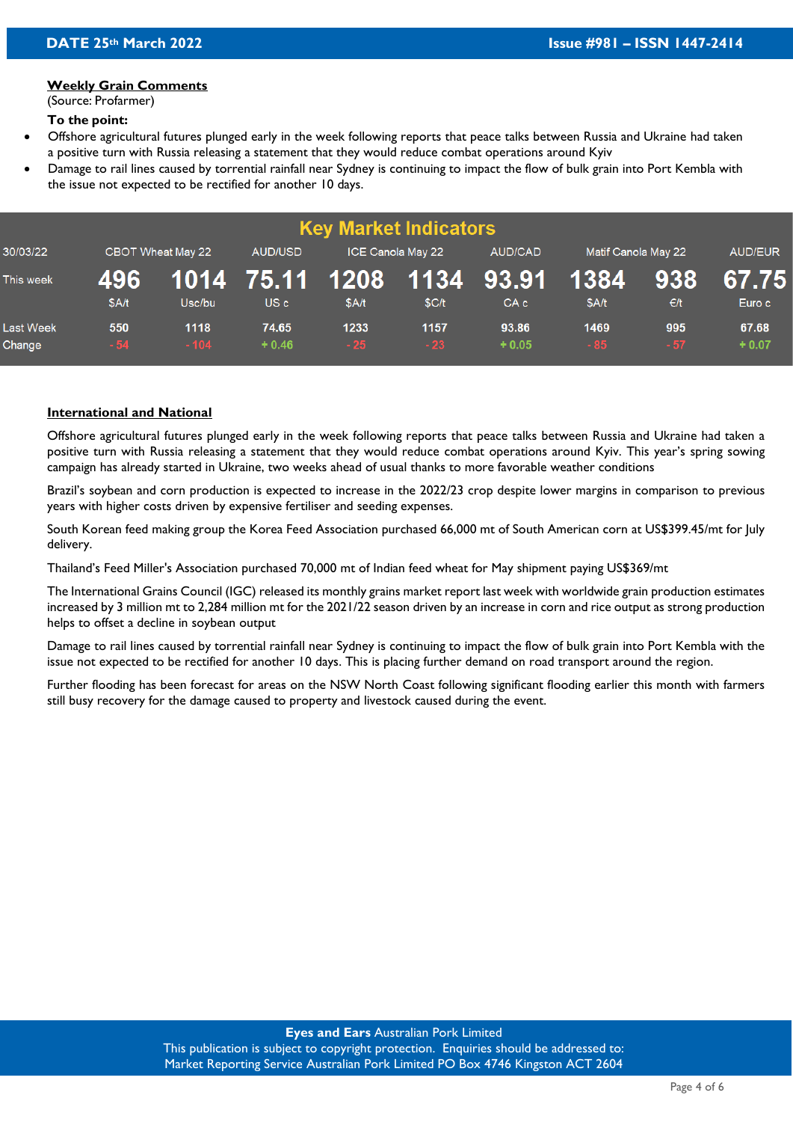#### **Weekly Grain Comments**

(Source: Profarmer)

#### **To the point:**

- Offshore agricultural futures plunged early in the week following reports that peace talks between Russia and Ukraine had taken a positive turn with Russia releasing a statement that they would reduce combat operations around Kyiv
- Damage to rail lines caused by torrential rainfall near Sydney is continuing to impact the flow of bulk grain into Port Kembla with the issue not expected to be rectified for another 10 days.

|                            |              |                   |                                    |               | <b>Key Market Indicators</b> |                      |                     |              |                  |
|----------------------------|--------------|-------------------|------------------------------------|---------------|------------------------------|----------------------|---------------------|--------------|------------------|
| 30/03/22                   |              | CBOT Wheat May 22 | AUD/USD                            |               | ICE Canola May 22            | <b>AUD/CAD</b>       | Matif Canola May 22 |              | <b>AUD/EUR</b>   |
| This week                  | 496<br>\$A/t | Usc/bu            | 1014 75.11 1208<br>US <sub>c</sub> | \$A/t         | \$C/t                        | . 1134 93.91<br>CA c | 1384<br>\$A/t       | 938<br>E/t   | 67.75<br>Euro c  |
| <b>Last Week</b><br>Change | 550<br>$-54$ | 1118<br>$-104$    | 74.65<br>$+0.46$                   | 1233<br>$-25$ | 1157<br>$-23$                | 93.86<br>$+0.05$     | 1469<br>$-85$       | 995<br>$-57$ | 67.68<br>$+0.07$ |

#### **International and National**

Offshore agricultural futures plunged early in the week following reports that peace talks between Russia and Ukraine had taken a positive turn with Russia releasing a statement that they would reduce combat operations around Kyiv. This year's spring sowing campaign has already started in Ukraine, two weeks ahead of usual thanks to more favorable weather conditions

Brazil's soybean and corn production is expected to increase in the 2022/23 crop despite lower margins in comparison to previous years with higher costs driven by expensive fertiliser and seeding expenses.

South Korean feed making group the Korea Feed Association purchased 66,000 mt of South American corn at US\$399.45/mt for July delivery.

Thailand's Feed Miller's Association purchased 70,000 mt of Indian feed wheat for May shipment paying US\$369/mt

The International Grains Council (IGC) released its monthly grains market report last week with worldwide grain production estimates increased by 3 million mt to 2,284 million mt for the 2021/22 season driven by an increase in corn and rice output as strong production helps to offset a decline in soybean output

Damage to rail lines caused by torrential rainfall near Sydney is continuing to impact the flow of bulk grain into Port Kembla with the issue not expected to be rectified for another 10 days. This is placing further demand on road transport around the region.

Further flooding has been forecast for areas on the NSW North Coast following significant flooding earlier this month with farmers still busy recovery for the damage caused to property and livestock caused during the event.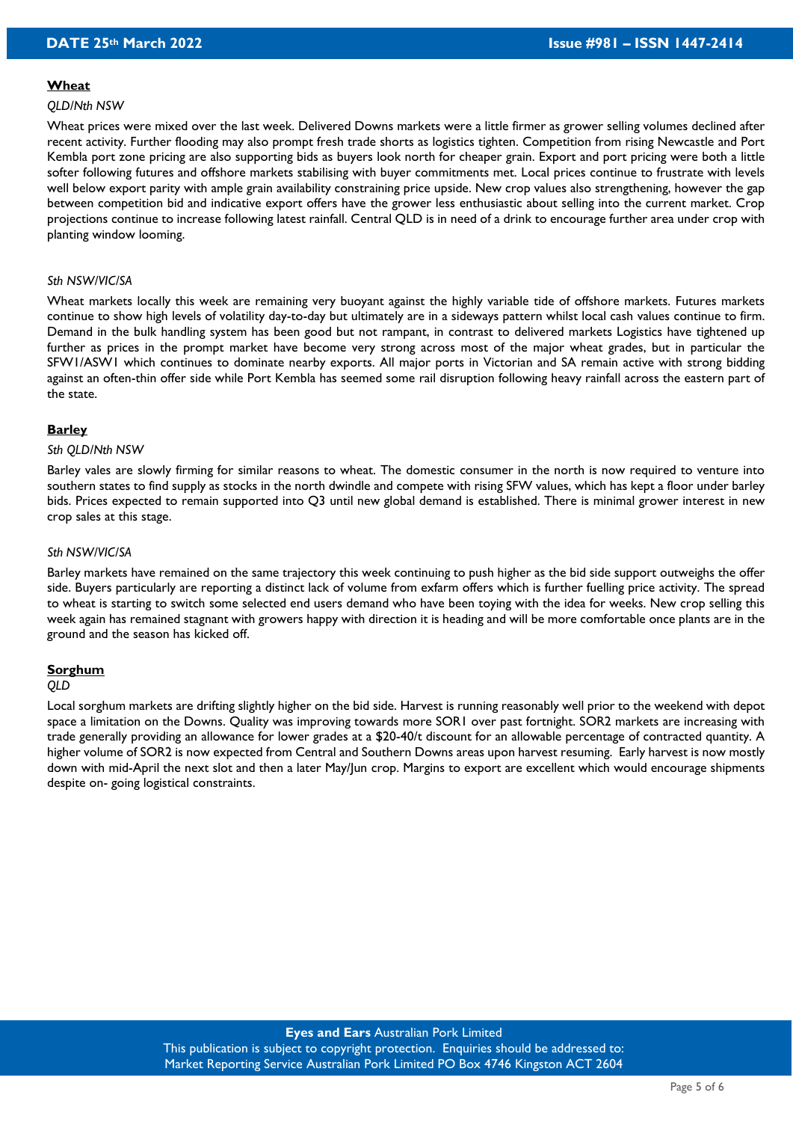#### **Wheat**

#### *QLD/Nth NSW*

Wheat prices were mixed over the last week. Delivered Downs markets were a little firmer as grower selling volumes declined after recent activity. Further flooding may also prompt fresh trade shorts as logistics tighten. Competition from rising Newcastle and Port Kembla port zone pricing are also supporting bids as buyers look north for cheaper grain. Export and port pricing were both a little softer following futures and offshore markets stabilising with buyer commitments met. Local prices continue to frustrate with levels well below export parity with ample grain availability constraining price upside. New crop values also strengthening, however the gap between competition bid and indicative export offers have the grower less enthusiastic about selling into the current market. Crop projections continue to increase following latest rainfall. Central QLD is in need of a drink to encourage further area under crop with planting window looming.

#### *Sth NSW/VIC/SA*

Wheat markets locally this week are remaining very buoyant against the highly variable tide of offshore markets. Futures markets continue to show high levels of volatility day-to-day but ultimately are in a sideways pattern whilst local cash values continue to firm. Demand in the bulk handling system has been good but not rampant, in contrast to delivered markets Logistics have tightened up further as prices in the prompt market have become very strong across most of the major wheat grades, but in particular the SFW1/ASW1 which continues to dominate nearby exports. All major ports in Victorian and SA remain active with strong bidding against an often-thin offer side while Port Kembla has seemed some rail disruption following heavy rainfall across the eastern part of the state.

#### **Barley**

#### *Sth QLD/Nth NSW*

Barley vales are slowly firming for similar reasons to wheat. The domestic consumer in the north is now required to venture into southern states to find supply as stocks in the north dwindle and compete with rising SFW values, which has kept a floor under barley bids. Prices expected to remain supported into Q3 until new global demand is established. There is minimal grower interest in new crop sales at this stage.

#### *Sth NSW/VIC/SA*

Barley markets have remained on the same trajectory this week continuing to push higher as the bid side support outweighs the offer side. Buyers particularly are reporting a distinct lack of volume from exfarm offers which is further fuelling price activity. The spread to wheat is starting to switch some selected end users demand who have been toying with the idea for weeks. New crop selling this week again has remained stagnant with growers happy with direction it is heading and will be more comfortable once plants are in the ground and the season has kicked off.

#### **Sorghum**

#### *QLD*

Local sorghum markets are drifting slightly higher on the bid side. Harvest is running reasonably well prior to the weekend with depot space a limitation on the Downs. Quality was improving towards more SOR1 over past fortnight. SOR2 markets are increasing with trade generally providing an allowance for lower grades at a \$20-40/t discount for an allowable percentage of contracted quantity. A higher volume of SOR2 is now expected from Central and Southern Downs areas upon harvest resuming. Early harvest is now mostly down with mid-April the next slot and then a later May/Jun crop. Margins to export are excellent which would encourage shipments despite on- going logistical constraints.